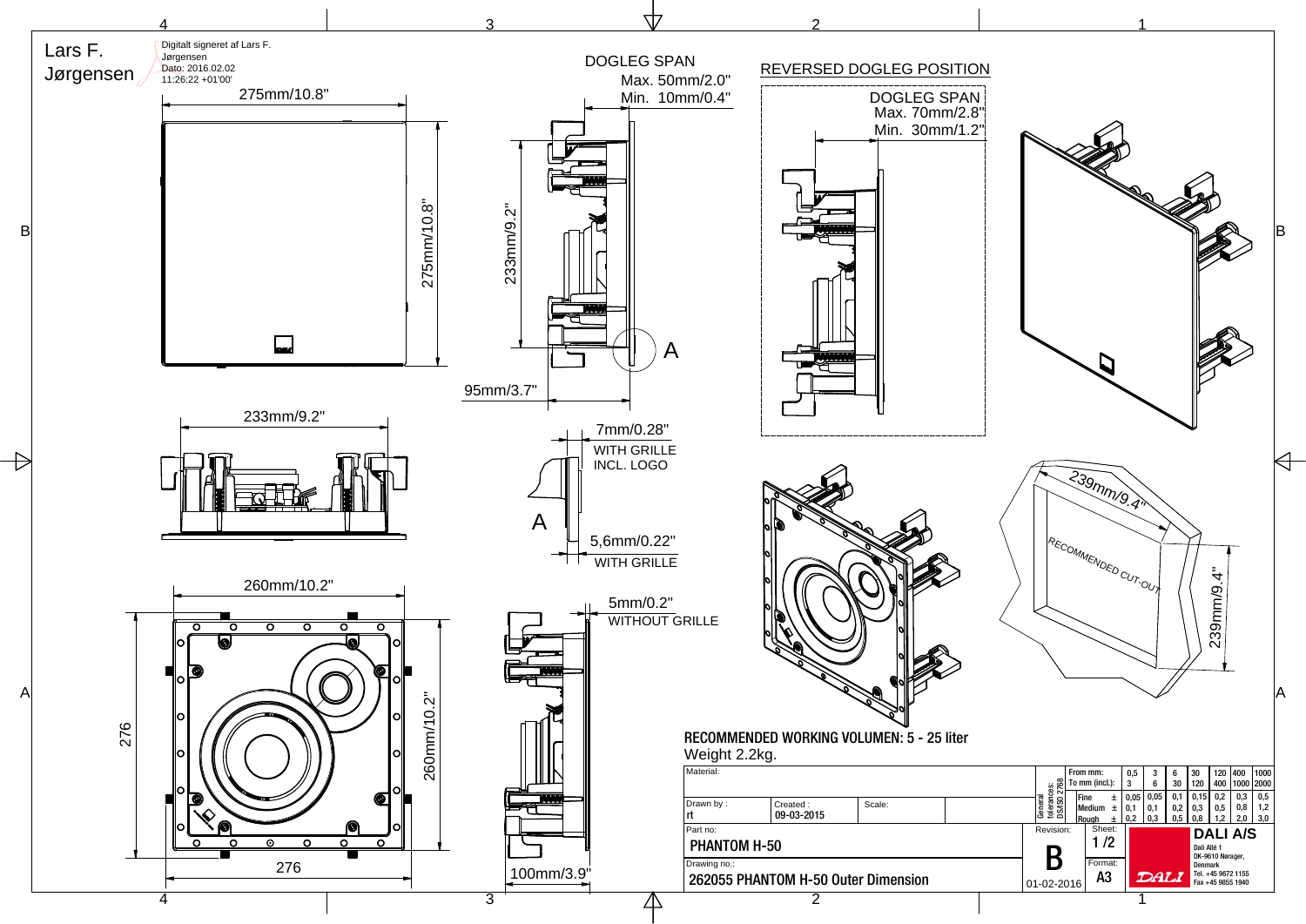